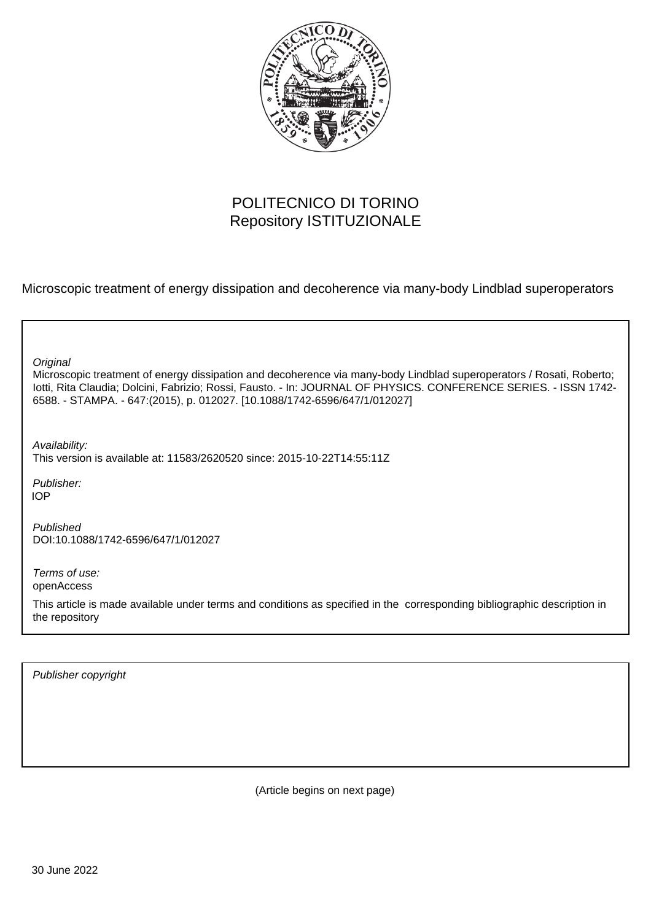

## POLITECNICO DI TORINO Repository ISTITUZIONALE

Microscopic treatment of energy dissipation and decoherence via many-body Lindblad superoperators

| Original<br>Microscopic treatment of energy dissipation and decoherence via many-body Lindblad superoperators / Rosati, Roberto;<br>lotti, Rita Claudia; Dolcini, Fabrizio; Rossi, Fausto. - In: JOURNAL OF PHYSICS. CONFERENCE SERIES. - ISSN 1742-<br>6588. - STAMPA. - 647: (2015), p. 012027. [10.1088/1742-6596/647/1/012027] |
|------------------------------------------------------------------------------------------------------------------------------------------------------------------------------------------------------------------------------------------------------------------------------------------------------------------------------------|
| Availability:<br>This version is available at: 11583/2620520 since: 2015-10-22T14:55:11Z                                                                                                                                                                                                                                           |
| Publisher:<br><b>IOP</b>                                                                                                                                                                                                                                                                                                           |
| Published<br>DOI:10.1088/1742-6596/647/1/012027                                                                                                                                                                                                                                                                                    |
| Terms of use:<br>openAccess                                                                                                                                                                                                                                                                                                        |
| This article is made available under terms and conditions as specified in the corresponding bibliographic description in<br>the repository                                                                                                                                                                                         |
|                                                                                                                                                                                                                                                                                                                                    |

Publisher copyright

(Article begins on next page)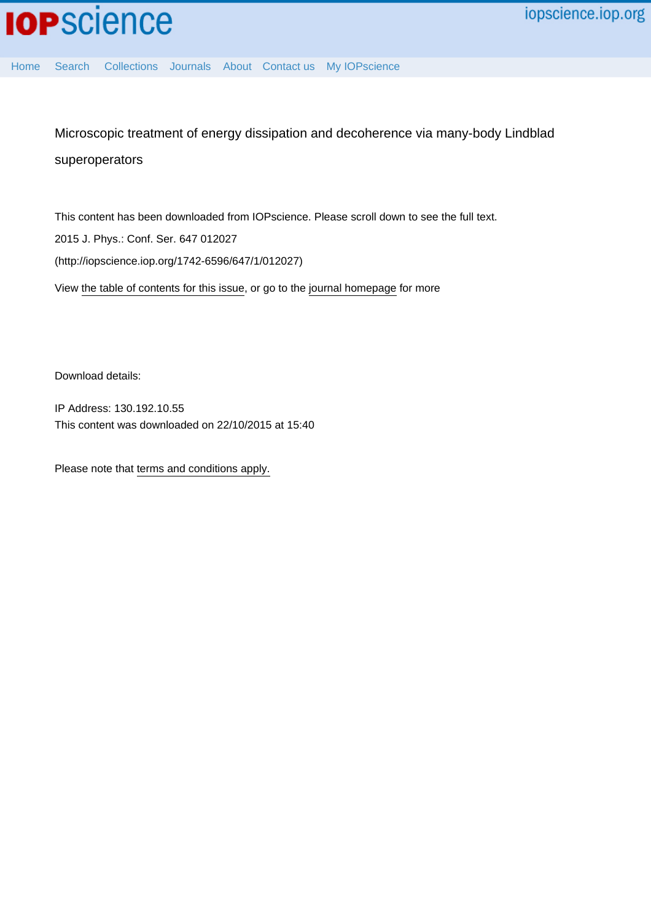[Home](http://iopscience.iop.org/) [Search](http://iopscience.iop.org/search) [Collections](http://iopscience.iop.org/collections) [Journals](http://iopscience.iop.org/journals) [About](http://iopscience.iop.org/page/aboutioppublishing) [Contact us](http://iopscience.iop.org/contact) [My IOPscience](http://iopscience.iop.org/myiopscience)

Microscopic treatment of energy dissipation and decoherence via many-body Lindblad superoperators

This content has been downloaded from IOPscience. Please scroll down to see the full text. View [the table of contents for this issue](http://iopscience.iop.org/1742-6596/647/1), or go to the [journal homepage](http://iopscience.iop.org/1742-6596) for more 2015 J. Phys.: Conf. Ser. 647 012027 (http://iopscience.iop.org/1742-6596/647/1/012027)

Download details:

IP Address: 130.192.10.55 This content was downloaded on 22/10/2015 at 15:40

Please note that [terms and conditions apply.](iopscience.iop.org/page/terms)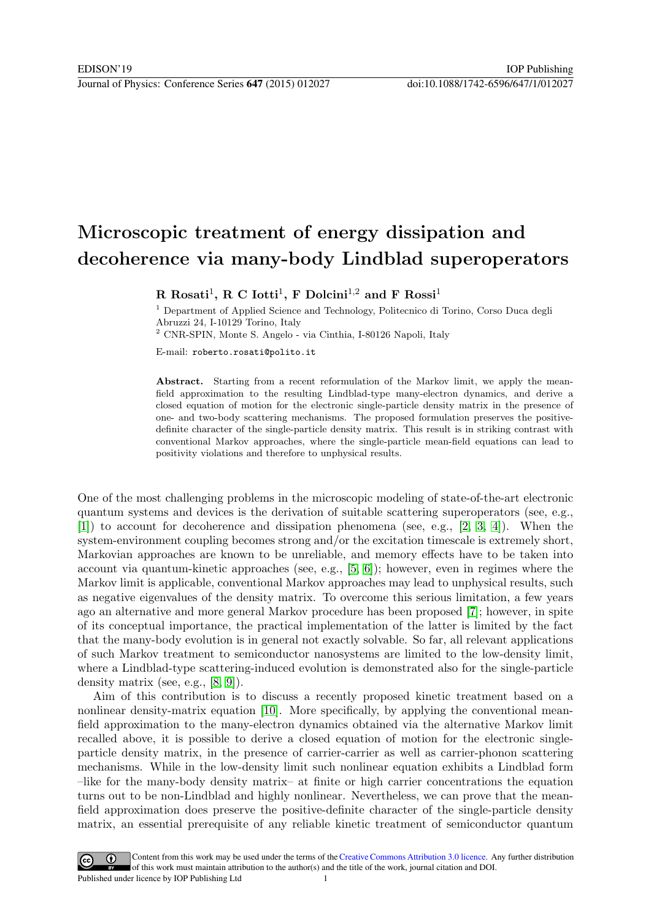## Microscopic treatment of energy dissipation and decoherence via many-body Lindblad superoperators

R Rosati<sup>1</sup>, R C Iotti<sup>1</sup>, F Dolcini<sup>1,2</sup> and F Rossi<sup>1</sup>

<sup>1</sup> Department of Applied Science and Technology, Politecnico di Torino, Corso Duca degli Abruzzi 24, I-10129 Torino, Italy

 $^2$  CNR-SPIN, Monte S. Angelo - via Cinthia, I-80126 Napoli, Italy

E-mail: roberto.rosati@polito.it

Abstract. Starting from a recent reformulation of the Markov limit, we apply the meanfield approximation to the resulting Lindblad-type many-electron dynamics, and derive a closed equation of motion for the electronic single-particle density matrix in the presence of one- and two-body scattering mechanisms. The proposed formulation preserves the positivedefinite character of the single-particle density matrix. This result is in striking contrast with conventional Markov approaches, where the single-particle mean-field equations can lead to positivity violations and therefore to unphysical results.

One of the most challenging problems in the microscopic modeling of state-of-the-art electronic quantum systems and devices is the derivation of suitable scattering superoperators (see, e.g., [1]) to account for decoherence and dissipation phenomena (see, e.g., [2, 3, 4]). When the system-environment coupling becomes strong and/or the excitation timescale is extremely short, Markovian approaches are known to be unreliable, and memory effects have to be taken into account via quantum-kinetic approaches (see, e.g.,  $[5, 6]$ ); however, even in regimes where the Markov limit is applicable, conventional Markov approaches may lead to unphysical results, such as negative eigenvalues of the density matrix. To overcome this serious limitation, a few years ago an alternative and more general Markov procedure has been proposed [7]; however, in spite of its conceptual importance, the practical implementation of the latter is limited by the fact that the many-body evolution is in general not exactly solvable. So far, all relevant applications of such Markov treatment to semiconductor nanosystems are limited to the low-density limit, where a Lindblad-type scattering-induced evolution is demonstrated also for the single-particle density matrix (see, e.g., [8, 9]).

Aim of this contribution is to discuss a recently proposed kinetic treatment based on a nonlinear density-matrix equation [10]. More specifically, by applying the conventional meanfield approximation to the many-electron dynamics obtained via the alternative Markov limit recalled above, it is possible to derive a closed equation of motion for the electronic singleparticle density matrix, in the presence of carrier-carrier as well as carrier-phonon scattering mechanisms. While in the low-density limit such nonlinear equation exhibits a Lindblad form –like for the many-body density matrix– at finite or high carrier concentrations the equation turns out to be non-Lindblad and highly nonlinear. Nevertheless, we can prove that the meanfield approximation does preserve the positive-definite character of the single-particle density matrix, an essential prerequisite of any reliable kinetic treatment of semiconductor quantum

Content from this work may be used under the terms of theCreative Commons Attribution 3.0 licence. Any further distribution  $(cc)$ of this work must maintain attribution to the author(s) and the title of the work, journal citation and DOI. Published under licence by IOP Publishing Ltd 1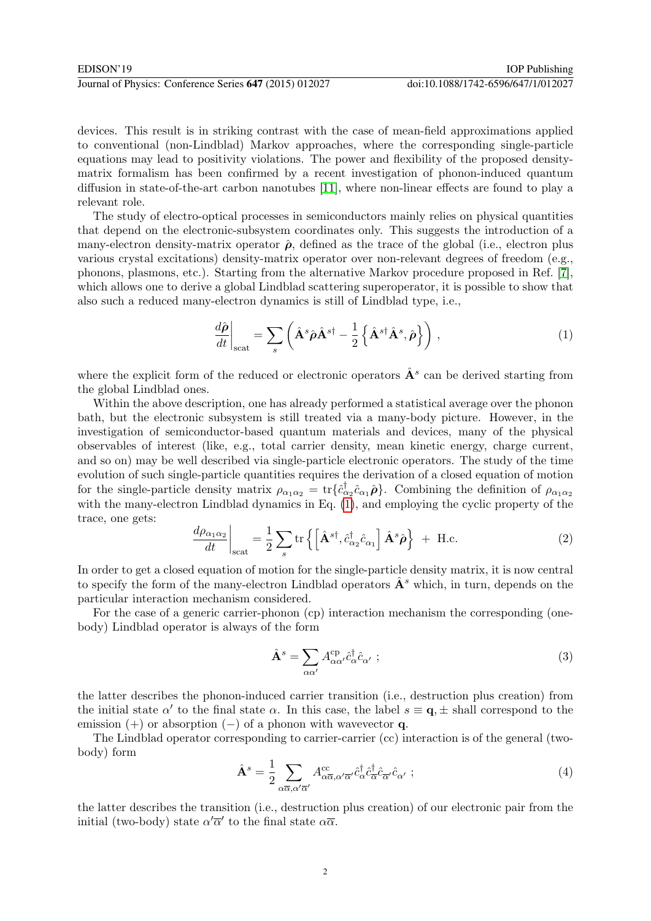devices. This result is in striking contrast with the case of mean-field approximations applied to conventional (non-Lindblad) Markov approaches, where the corresponding single-particle equations may lead to positivity violations. The power and flexibility of the proposed densitymatrix formalism has been confirmed by a recent investigation of phonon-induced quantum diffusion in state-of-the-art carbon nanotubes [11], where non-linear effects are found to play a relevant role.

The study of electro-optical processes in semiconductors mainly relies on physical quantities that depend on the electronic-subsystem coordinates only. This suggests the introduction of a many-electron density-matrix operator  $\hat{\rho}$ , defined as the trace of the global (i.e., electron plus various crystal excitations) density-matrix operator over non-relevant degrees of freedom (e.g., phonons, plasmons, etc.). Starting from the alternative Markov procedure proposed in Ref. [7], which allows one to derive a global Lindblad scattering superoperator, it is possible to show that also such a reduced many-electron dynamics is still of Lindblad type, i.e.,

$$
\frac{d\hat{\boldsymbol{\rho}}}{dt}\bigg|_{\text{scat}} = \sum_{s} \left( \hat{\mathbf{A}}^{s} \hat{\boldsymbol{\rho}} \hat{\mathbf{A}}^{s\dagger} - \frac{1}{2} \left\{ \hat{\mathbf{A}}^{s\dagger} \hat{\mathbf{A}}^{s}, \hat{\boldsymbol{\rho}} \right\} \right), \tag{1}
$$

where the explicit form of the reduced or electronic operators  $\hat{A}^s$  can be derived starting from the global Lindblad ones.

Within the above description, one has already performed a statistical average over the phonon bath, but the electronic subsystem is still treated via a many-body picture. However, in the investigation of semiconductor-based quantum materials and devices, many of the physical observables of interest (like, e.g., total carrier density, mean kinetic energy, charge current, and so on) may be well described via single-particle electronic operators. The study of the time evolution of such single-particle quantities requires the derivation of a closed equation of motion for the single-particle density matrix  $\rho_{\alpha_1\alpha_2} = \text{tr}\{\hat{c}_{\alpha_2}^{\dagger}\hat{c}_{\alpha_1}\hat{\rho}\}\.$  Combining the definition of  $\rho_{\alpha_1\alpha_2}$ with the many-electron Lindblad dynamics in Eq. (1), and employing the cyclic property of the trace, one gets:

$$
\frac{d\rho_{\alpha_1\alpha_2}}{dt}\bigg|_{\text{scat}} = \frac{1}{2} \sum_{s} \text{tr}\left\{ \left[ \hat{\mathbf{A}}^{s\dagger}, \hat{c}^{\dagger}_{\alpha_2} \hat{c}_{\alpha_1} \right] \hat{\mathbf{A}}^s \hat{\boldsymbol{\rho}} \right\} + \text{H.c.}
$$
\n(2)

In order to get a closed equation of motion for the single-particle density matrix, it is now central to specify the form of the many-electron Lindblad operators  $\mathbf{A}^s$  which, in turn, depends on the particular interaction mechanism considered.

For the case of a generic carrier-phonon (cp) interaction mechanism the corresponding (onebody) Lindblad operator is always of the form

$$
\hat{\mathbf{A}}^s = \sum_{\alpha\alpha'} A^{\rm cp}_{\alpha\alpha'} \hat{c}^\dagger_{\alpha} \hat{c}_{\alpha'} ; \qquad (3)
$$

the latter describes the phonon-induced carrier transition (i.e., destruction plus creation) from the initial state  $\alpha'$  to the final state  $\alpha$ . In this case, the label  $s \equiv \mathbf{q}, \pm$  shall correspond to the emission  $(+)$  or absorption  $(-)$  of a phonon with wavevector q.

The Lindblad operator corresponding to carrier-carrier (cc) interaction is of the general (twobody) form

$$
\hat{\mathbf{A}}^s = \frac{1}{2} \sum_{\alpha \overline{\alpha}, \alpha' \overline{\alpha}'} A^{\text{cc}}_{\alpha \overline{\alpha}, \alpha' \overline{\alpha}'} \hat{c}^\dagger_{\alpha} \hat{c}^\dagger_{\overline{\alpha}} \hat{c}_{\overline{\alpha}'} \hat{c}_{\alpha'} ; \qquad (4)
$$

the latter describes the transition (i.e., destruction plus creation) of our electronic pair from the initial (two-body) state  $\alpha' \overline{\alpha}'$  to the final state  $\alpha \overline{\alpha}$ .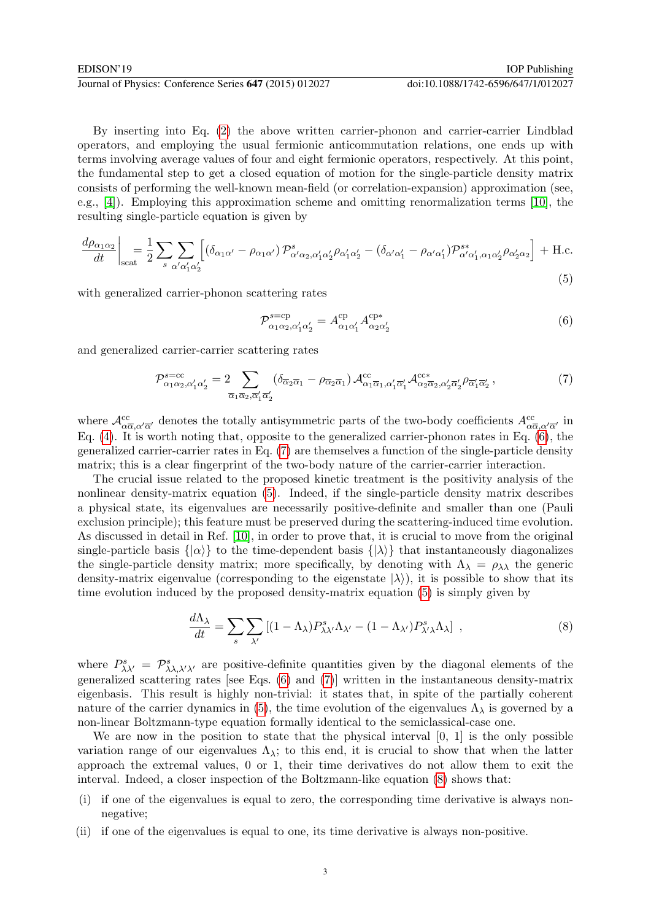By inserting into Eq. (2) the above written carrier-phonon and carrier-carrier Lindblad operators, and employing the usual fermionic anticommutation relations, one ends up with terms involving average values of four and eight fermionic operators, respectively. At this point, the fundamental step to get a closed equation of motion for the single-particle density matrix consists of performing the well-known mean-field (or correlation-expansion) approximation (see, e.g., [4]). Employing this approximation scheme and omitting renormalization terms [10], the resulting single-particle equation is given by

$$
\frac{d\rho_{\alpha_1\alpha_2}}{dt}\bigg|_{\text{scat}} = \frac{1}{2} \sum_{s} \sum_{\alpha'\alpha'_1\alpha'_2} \left[ \left( \delta_{\alpha_1\alpha'} - \rho_{\alpha_1\alpha'} \right) \mathcal{P}^s_{\alpha'\alpha_2,\alpha'_1\alpha'_2} \rho_{\alpha'_1\alpha'_2} - \left( \delta_{\alpha'\alpha'_1} - \rho_{\alpha'\alpha'_1} \right) \mathcal{P}^{s*}_{\alpha'\alpha'_1,\alpha_1\alpha'_2} \rho_{\alpha'_2\alpha_2} \right] + \text{H.c.}
$$
\n
$$
(5)
$$

with generalized carrier-phonon scattering rates

$$
\mathcal{P}_{\alpha_1 \alpha_2, \alpha'_1 \alpha'_2}^{\text{s=cp}} = A_{\alpha_1 \alpha'_1}^{\text{cp}} A_{\alpha_2 \alpha'_2}^{\text{cp}*} \tag{6}
$$

and generalized carrier-carrier scattering rates

$$
\mathcal{P}_{\alpha_1\alpha_2,\alpha'_1\alpha'_2}^{\text{s}=cc} = 2 \sum_{\overline{\alpha}_1 \overline{\alpha}_2, \overline{\alpha'_1} \overline{\alpha'_2}} (\delta_{\overline{\alpha}_2 \overline{\alpha}_1} - \rho_{\overline{\alpha}_2 \overline{\alpha}_1}) \mathcal{A}_{\alpha_1 \overline{\alpha}_1, \alpha'_1 \overline{\alpha'_1}}^{\text{cc}} \mathcal{A}_{\alpha_2 \overline{\alpha}_2, \alpha'_2 \overline{\alpha'_2}}^{\text{cc}*} \rho_{\overline{\alpha'_1} \overline{\alpha'_2}}, \tag{7}
$$

where  $\mathcal{A}^{cc}_{\alpha\overline{\alpha},\alpha'\overline{\alpha'}}$  denotes the totally antisymmetric parts of the two-body coefficients  $A^{cc}_{\alpha\overline{\alpha},\alpha'\overline{\alpha'}}$  in Eq.  $(4)$ . It is worth noting that, opposite to the generalized carrier-phonon rates in Eq.  $(6)$ , the generalized carrier-carrier rates in Eq. (7) are themselves a function of the single-particle density matrix; this is a clear fingerprint of the two-body nature of the carrier-carrier interaction.

The crucial issue related to the proposed kinetic treatment is the positivity analysis of the nonlinear density-matrix equation (5). Indeed, if the single-particle density matrix describes a physical state, its eigenvalues are necessarily positive-definite and smaller than one (Pauli exclusion principle); this feature must be preserved during the scattering-induced time evolution. As discussed in detail in Ref. [10], in order to prove that, it is crucial to move from the original single-particle basis  $\{|\alpha\rangle\}$  to the time-dependent basis  $\{|\lambda\rangle\}$  that instantaneously diagonalizes the single-particle density matrix; more specifically, by denoting with  $\Lambda_{\lambda} = \rho_{\lambda\lambda}$  the generic density-matrix eigenvalue (corresponding to the eigenstate  $|\lambda\rangle$ ), it is possible to show that its time evolution induced by the proposed density-matrix equation (5) is simply given by

$$
\frac{d\Lambda_{\lambda}}{dt} = \sum_{s} \sum_{\lambda'} \left[ (1 - \Lambda_{\lambda}) P_{\lambda\lambda'}^{s} \Lambda_{\lambda'} - (1 - \Lambda_{\lambda'}) P_{\lambda'\lambda}^{s} \Lambda_{\lambda} \right] , \qquad (8)
$$

where  $P_{\lambda\lambda'}^s = \mathcal{P}_{\lambda\lambda,\lambda'\lambda'}^s$  are positive-definite quantities given by the diagonal elements of the generalized scattering rates [see Eqs. (6) and (7)] written in the instantaneous density-matrix eigenbasis. This result is highly non-trivial: it states that, in spite of the partially coherent nature of the carrier dynamics in (5), the time evolution of the eigenvalues  $\Lambda_{\lambda}$  is governed by a non-linear Boltzmann-type equation formally identical to the semiclassical-case one.

We are now in the position to state that the physical interval [0, 1] is the only possible variation range of our eigenvalues  $\Lambda_{\lambda}$ ; to this end, it is crucial to show that when the latter approach the extremal values, 0 or 1, their time derivatives do not allow them to exit the interval. Indeed, a closer inspection of the Boltzmann-like equation (8) shows that:

- (i) if one of the eigenvalues is equal to zero, the corresponding time derivative is always nonnegative;
- (ii) if one of the eigenvalues is equal to one, its time derivative is always non-positive.